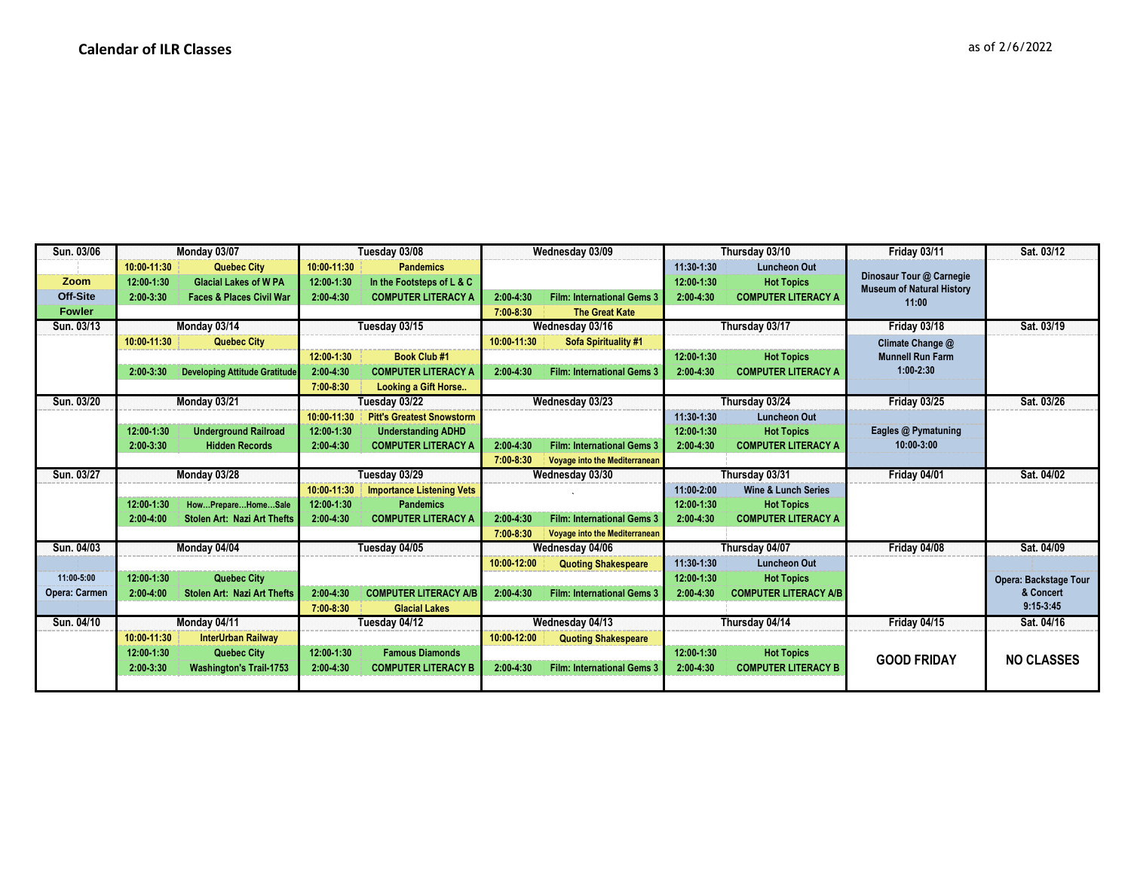| Sun. 03/06      | Monday 03/07                     |                                      | Tuesday 03/08                        |                                  | Wednesday 03/09 |                                   | Thursday 03/10 |                                | Friday 03/11                              | Sat. 03/12            |
|-----------------|----------------------------------|--------------------------------------|--------------------------------------|----------------------------------|-----------------|-----------------------------------|----------------|--------------------------------|-------------------------------------------|-----------------------|
|                 | 10:00-11:30                      | <b>Quebec City</b>                   | 10:00-11:30                          | <b>Pandemics</b>                 |                 |                                   | 11:30-1:30     | <b>Luncheon Out</b>            |                                           |                       |
| Zoom            | 12:00-1:30                       | <b>Glacial Lakes of W PA</b>         | 12:00-1:30                           | In the Footsteps of L & C        |                 |                                   | 12:00-1:30     | <b>Hot Topics</b>              | Dinosaur Tour @ Carnegie                  |                       |
| <b>Off-Site</b> | 2:00-3:30                        | <b>Faces &amp; Places Civil War</b>  | 2:00-4:30                            | <b>COMPUTER LITERACY A</b>       | 2:00-4:30       | <b>Film: International Gems 3</b> | $2:00 - 4:30$  | <b>COMPUTER LITERACY A</b>     | <b>Museum of Natural History</b><br>11:00 |                       |
| <b>Fowler</b>   |                                  |                                      |                                      |                                  | $7:00 - 8:30$   | <b>The Great Kate</b>             |                |                                |                                           |                       |
| Sun. 03/13      |                                  | Monday 03/14                         |                                      | Tuesday 03/15                    |                 | Wednesday 03/16                   |                | Thursday 03/17                 | Friday 03/18                              | Sat. 03/19            |
|                 | 10:00-11:30                      | <b>Quebec City</b>                   |                                      |                                  | 10:00-11:30     | Sofa Spirituality #1              |                |                                | Climate Change @                          |                       |
|                 |                                  |                                      | 12:00-1:30                           | <b>Book Club #1</b>              |                 |                                   | 12:00-1:30     | <b>Hot Topics</b>              | <b>Munnell Run Farm</b>                   |                       |
|                 | 2:00-3:30                        | <b>Developing Attitude Gratitude</b> | 2:00-4:30                            | <b>COMPUTER LITERACY A</b>       | 2:00-4:30       | <b>Film: International Gems 3</b> | $2:00 - 4:30$  | <b>COMPUTER LITERACY A</b>     | $1:00 - 2:30$                             |                       |
|                 |                                  |                                      | 7:00-8:30                            | <b>Looking a Gift Horse</b>      |                 |                                   |                |                                |                                           |                       |
| Sun. 03/20      |                                  | Monday 03/21                         |                                      | Tuesday 03/22                    |                 | Wednesday 03/23                   |                | Thursday 03/24                 | <b>Friday 03/25</b>                       | Sat. 03/26            |
|                 |                                  |                                      | 10:00-11:30                          | <b>Pitt's Greatest Snowstorm</b> |                 |                                   | 11:30-1:30     | <b>Luncheon Out</b>            |                                           |                       |
|                 | 12:00-1:30                       | <b>Underground Railroad</b>          | 12:00-1:30                           | <b>Understanding ADHD</b>        |                 |                                   | 12:00-1:30     | <b>Hot Topics</b>              | Eagles @ Pymatuning                       |                       |
|                 | $2:00-3:30$                      | <b>Hidden Records</b>                | 2:00-4:30                            | <b>COMPUTER LITERACY A</b>       | 2:00-4:30       | <b>Film: International Gems 3</b> | 2:00-4:30      | <b>COMPUTER LITERACY A</b>     | 10:00-3:00                                |                       |
|                 |                                  |                                      |                                      |                                  | $7:00 - 8:30$   | Voyage into the Mediterranean     |                |                                |                                           |                       |
| Sun. 03/27      |                                  | Monday 03/28                         | Tuesday 03/29                        |                                  | Wednesday 03/30 |                                   |                | Thursday 03/31                 | Friday 04/01                              | Sat. 04/02            |
|                 |                                  |                                      | 10:00-11:30                          | <b>Importance Listening Vets</b> |                 |                                   | 11:00-2:00     | <b>Wine &amp; Lunch Series</b> |                                           |                       |
|                 | 12:00-1:30                       | HowPrepareHomeSale                   | 12:00-1:30                           | <b>Pandemics</b>                 |                 |                                   | 12:00-1:30     | <b>Hot Topics</b>              |                                           |                       |
|                 | $2:00 - 4:00$                    | <b>Stolen Art: Nazi Art Thefts</b>   | 2:00-4:30                            | <b>COMPUTER LITERACY A</b>       | $2:00 - 4:30$   | <b>Film: International Gems 3</b> | 2:00-4:30      | <b>COMPUTER LITERACY A</b>     |                                           |                       |
|                 |                                  |                                      |                                      |                                  | 7:00-8:30       | Voyage into the Mediterranean     |                |                                |                                           |                       |
| Sun. 04/03      | Monday 04/04                     |                                      | Tuesday 04/05                        |                                  | Wednesday 04/06 |                                   | Thursday 04/07 |                                | Friday 04/08                              | Sat. 04/09            |
|                 |                                  |                                      |                                      |                                  | 10:00-12:00     | <b>Quoting Shakespeare</b>        | 11:30-1:30     | <b>Luncheon Out</b>            |                                           |                       |
| 11:00-5:00      | 12:00-1:30                       | <b>Quebec City</b>                   |                                      |                                  |                 |                                   | 12:00-1:30     | <b>Hot Topics</b>              |                                           | Opera: Backstage Tour |
| Opera: Carmen   | $2:00 - 4:00$                    | Stolen Art: Nazi Art Thefts          | 2:00-4:30                            | <b>COMPUTER LITERACY A/B</b>     | 2:00-4:30       | <b>Film: International Gems 3</b> | $2:00 - 4:30$  | <b>COMPUTER LITERACY A/B</b>   |                                           | & Concert             |
|                 |                                  |                                      | 7:00-8:30                            | <b>Glacial Lakes</b>             |                 |                                   |                |                                |                                           | $9:15-3:45$           |
| Sun. 04/10      |                                  | Monday 04/11                         |                                      | Tuesday 04/12                    |                 | Wednesday 04/13                   |                | Thursday 04/14                 | <b>Friday 04/15</b>                       | Sat. 04/16            |
|                 | 10:00-11:30                      | <b>InterUrban Railway</b>            |                                      |                                  | 10:00-12:00     | <b>Quoting Shakespeare</b>        |                |                                |                                           |                       |
|                 | <b>Quebec City</b><br>12:00-1:30 |                                      | <b>Famous Diamonds</b><br>12:00-1:30 |                                  |                 |                                   | 12:00-1:30     | <b>Hot Topics</b>              | <b>GOOD FRIDAY</b>                        | <b>NO CLASSES</b>     |
|                 | 2:00-3:30                        | <b>Washington's Trail-1753</b>       | 2:00-4:30                            | <b>COMPUTER LITERACY B</b>       | 2:00-4:30       | <b>Film: International Gems 3</b> | 2:00-4:30      | <b>COMPUTER LITERACY B</b>     |                                           |                       |
|                 |                                  |                                      |                                      |                                  |                 |                                   |                |                                |                                           |                       |